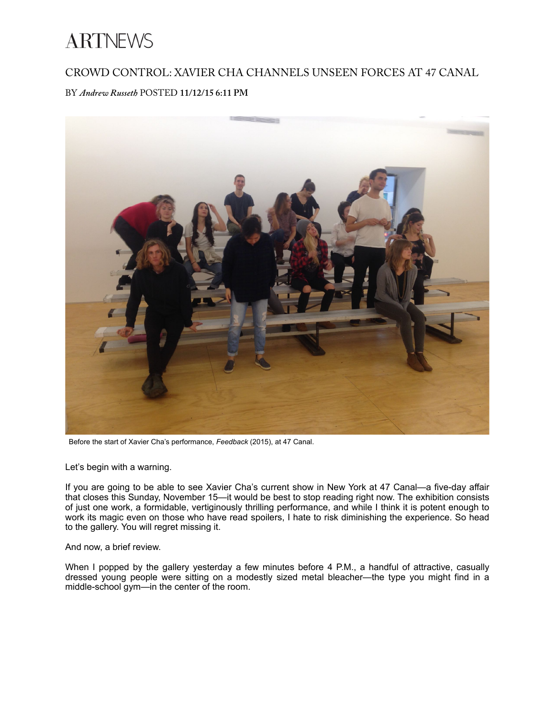## **ARTNEWS**

## CROWD CONTROL: XAVIER CHA CHANNELS UNSEEN FORCES AT 47 CANAL

## BY *Andrew Russeth* POSTED **11/12/15 6:11 PM**



Before the start of Xavier Cha's performance, *Feedback* (2015), at 47 Canal.

Let's begin with a warning.

If you are going to be able to see Xavier Cha's current show in New York at 47 Canal—a five-day affair that closes this Sunday, November 15—it would be best to stop reading right now. The exhibition consists of just one work, a formidable, vertiginously thrilling performance, and while I think it is potent enough to work its magic even on those who have read spoilers, I hate to risk diminishing the experience. So head to the gallery. You will regret missing it.

## And now, a brief review.

When I popped by the gallery yesterday a few minutes before 4 P.M., a handful of attractive, casually dressed young people were sitting on a modestly sized metal bleacher—the type you might find in a middle-school gym—in the center of the room.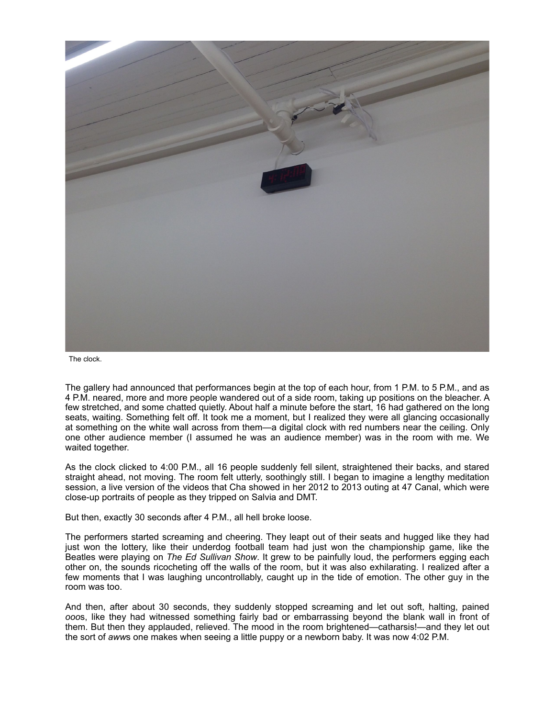

The clock.

The gallery had announced that performances begin at the top of each hour, from 1 P.M. to 5 P.M., and as 4 P.M. neared, more and more people wandered out of a side room, taking up positions on the bleacher. A few stretched, and some chatted quietly. About half a minute before the start, 16 had gathered on the long seats, waiting. Something felt off. It took me a moment, but I realized they were all glancing occasionally at something on the white wall across from them—a digital clock with red numbers near the ceiling. Only one other audience member (I assumed he was an audience member) was in the room with me. We waited together.

As the clock clicked to 4:00 P.M., all 16 people suddenly fell silent, straightened their backs, and stared straight ahead, not moving. The room felt utterly, soothingly still. I began to imagine a lengthy meditation session, a live version of the videos that Cha showed in her 2012 to 2013 outing at 47 Canal, which were close-up portraits of people as they tripped on Salvia and DMT.

But then, exactly 30 seconds after 4 P.M., all hell broke loose.

The performers started screaming and cheering. They leapt out of their seats and hugged like they had just won the lottery, like their underdog football team had just won the championship game, like the Beatles were playing on *The Ed Sullivan Show*. It grew to be painfully loud, the performers egging each other on, the sounds ricocheting off the walls of the room, but it was also exhilarating. I realized after a few moments that I was laughing uncontrollably, caught up in the tide of emotion. The other guy in the room was too.

And then, after about 30 seconds, they suddenly stopped screaming and let out soft, halting, pained *ooo*s, like they had witnessed something fairly bad or embarrassing beyond the blank wall in front of them. But then they applauded, relieved. The mood in the room brightened—catharsis!—and they let out the sort of *aww*s one makes when seeing a little puppy or a newborn baby. It was now 4:02 P.M.